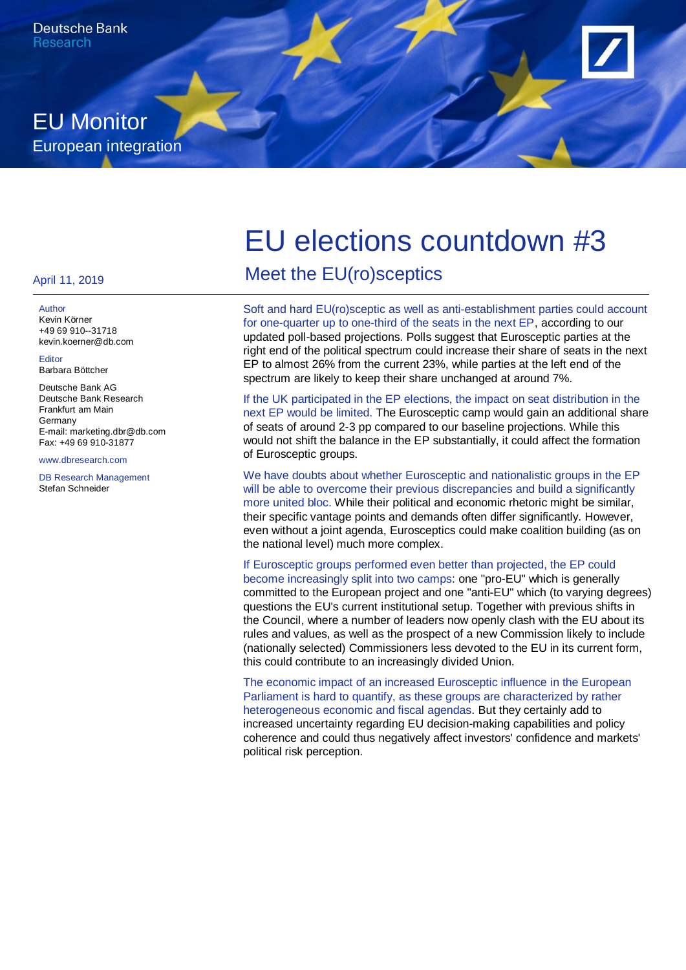

#### April 11, 2019

#### **Author**

Kevin Körner +49 69 910--31718 kevin.koerner@db.com

Editor Barbara Böttcher

Deutsche Bank AG Deutsche Bank Research Frankfurt am Main Germany E-mail: marketing.dbr@db.com Fax: +49 69 910-31877

www.dbresearch.com

DB Research Management Stefan Schneider

# EU elections countdown #3 Meet the EU(ro)sceptics

Soft and hard EU(ro)sceptic as well as anti-establishment parties could account for one-quarter up to one-third of the seats in the next EP, according to our updated poll-based projections. Polls suggest that Eurosceptic parties at the right end of the political spectrum could increase their share of seats in the next EP to almost 26% from the current 23%, while parties at the left end of the spectrum are likely to keep their share unchanged at around 7%.

If the UK participated in the EP elections, the impact on seat distribution in the next EP would be limited. The Eurosceptic camp would gain an additional share of seats of around 2-3 pp compared to our baseline projections. While this would not shift the balance in the EP substantially, it could affect the formation of Eurosceptic groups.

We have doubts about whether Eurosceptic and nationalistic groups in the EP will be able to overcome their previous discrepancies and build a significantly more united bloc. While their political and economic rhetoric might be similar, their specific vantage points and demands often differ significantly. However, even without a joint agenda, Eurosceptics could make coalition building (as on the national level) much more complex.

If Eurosceptic groups performed even better than projected, the EP could become increasingly split into two camps: one "pro-EU" which is generally committed to the European project and one "anti-EU" which (to varying degrees) questions the EU's current institutional setup. Together with previous shifts in the Council, where a number of leaders now openly clash with the EU about its rules and values, as well as the prospect of a new Commission likely to include (nationally selected) Commissioners less devoted to the EU in its current form, this could contribute to an increasingly divided Union.

The economic impact of an increased Eurosceptic influence in the European Parliament is hard to quantify, as these groups are characterized by rather heterogeneous economic and fiscal agendas. But they certainly add to increased uncertainty regarding EU decision-making capabilities and policy coherence and could thus negatively affect investors' confidence and markets' political risk perception.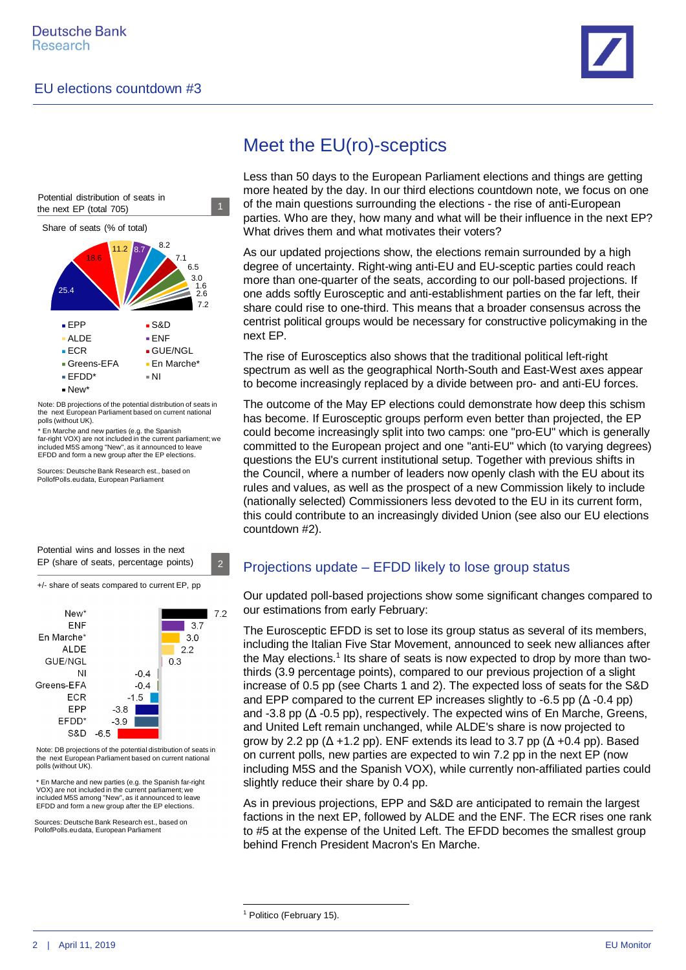



Note: DB projections of the potential distribution of seats in the next European Parliament based on current national polls (without UK).

\* En Marche and new parties (e.g. the Spanish far-right VOX) are not included in the current parliament; we included M5S among "New", as it announced to leave EFDD and form a new group after the EP elections.

Sources: Deutsche Bank Research est., based on PollofPolls.eu data, European Parliament

Potential wins and losses in the next EP (share of seats, percentage points)  $\boxed{2}$ 

+/- share of seats compared to current EP, pp



Note: DB projections of the potential distribution of seats in the next European Parliament based on current national polls (without UK).

\* En Marche and new parties (e.g. the Spanish far-right VOX) are not included in the current parliament; we included M5S among "New", as it announced to leave EFDD and form a new group after the EP elections.

Sources: Deutsche Bank Research est., based on PollofPolls.eu data, European Parliament

## Meet the EU(ro)-sceptics

Less than 50 days to the [European Parliament elections](https://www.dbresearch.com/PROD/RPS_EN-PROD/PROD0000000000480268/European_Parliament_elections_2019%3A_The_next_%E2%80%9Cbatt.pdf) and things are getting more heated by the day. In our third elections countdown note, we focus on one of the main questions surrounding the elections - the rise of anti-European parties. Who are they, how many and what will be their influence in the next EP? What drives them and what motivates their voters?

As our updated projections show, the elections remain surrounded by a high degree of uncertainty. Right-wing anti-EU and EU-sceptic parties could reach more than one-quarter of the seats, according to our poll-based projections. If one adds softly Eurosceptic and anti-establishment parties on the far left, their share could rise to one-third. This means that a broader consensus across the centrist political groups would be necessary for constructive policymaking in the next EP.

The rise of Eurosceptics also shows that the traditional political left-right spectrum as well as the geographical North-South and East-West axes appear to become increasingly replaced by a divide between pro- and anti-EU forces.

The outcome of the May EP elections could demonstrate how deep this schism has become. If Eurosceptic groups perform even better than projected, the EP could become increasingly split into two camps: one "pro-EU" which is generally committed to the European project and one "anti-EU" which (to varying degrees) questions the EU's current institutional setup. Together with previous shifts in the Council, where a number of leaders now openly clash with the EU about its rules and values, as well as the prospect of a new Commission likely to include (nationally selected) Commissioners less devoted to the EU in its current form, this could contribute to an increasingly divided Union (see also our [EU elections](https://www.dbresearch.com/PROD/RPS_EN-PROD/PROD0000000000488232/EU_elections_countdown_%232%3A_Tough_race_to_the_top_o.PDF) [countdown #2\).](https://www.dbresearch.com/PROD/RPS_EN-PROD/PROD0000000000488232/EU_elections_countdown_%232%3A_Tough_race_to_the_top_o.PDF)

#### Projections update – EFDD likely to lose group status

Our updated poll-based projections show some significant changes compared to our estimations from early February:

The Eurosceptic EFDD is set to lose its group status as several of its members, including the Italian Five Star Movement, announced to seek new alliances after the May elections.<sup>[1](#page-1-0)</sup> Its share of seats is now expected to drop by more than twothirds (3.9 percentage points), compared to our previous projection of a slight increase of 0.5 pp (see Charts 1 and 2). The expected loss of seats for the S&D and EPP compared to the current EP increases slightly to  $-6.5$  pp ( $\Delta$  $-0.4$  pp) and -3.8 pp ( $\Delta$  -0.5 pp), respectively. The expected wins of En Marche, Greens, and United Left remain unchanged, while ALDE's share is now projected to grow by 2.2 pp  $(\Delta +1.2 \text{ pp})$ . ENF extends its lead to 3.7 pp  $(\Delta +0.4 \text{ pp})$ . Based on current polls, new parties are expected to win 7.2 pp in the next EP (now including M5S and the Spanish VOX), while currently non-affiliated parties could slightly reduce their share by 0.4 pp.

As in previous projections, EPP and S&D are anticipated to remain the largest factions in the next EP, followed by ALDE and the ENF. The ECR rises one rank to #5 at the expense of the United Left. The EFDD becomes the smallest group behind French President Macron's En Marche.

<span id="page-1-0"></span><sup>&</sup>lt;sup>1</sup> [Politico \(February 15\).](https://www.politico.eu/article/italys-5stars-launch-new-group-in-european-parliament/)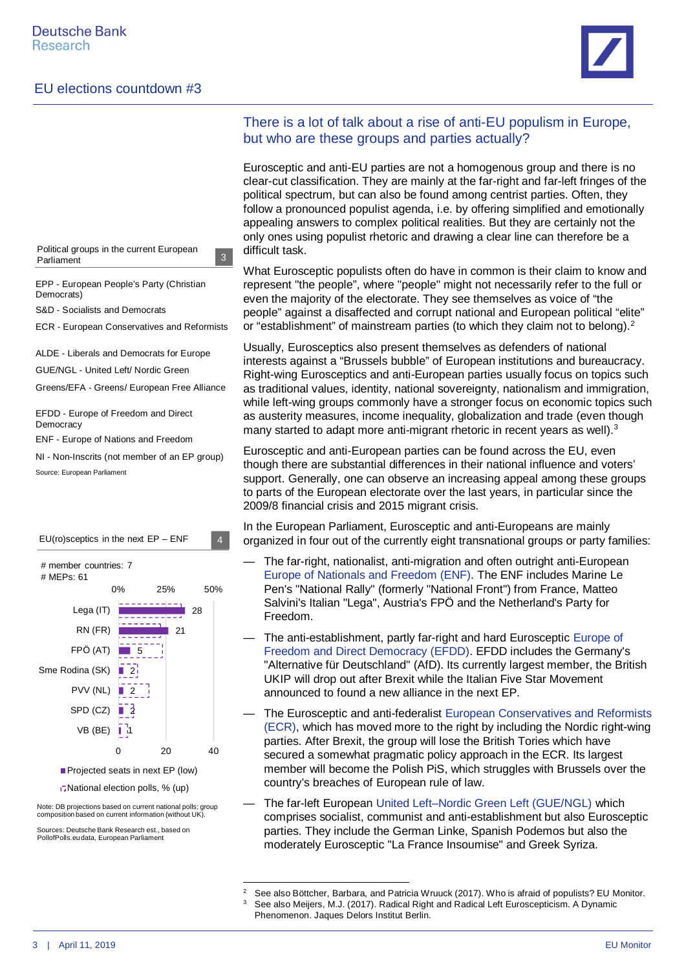

Political groups in the current European Parliament 3

EPP - European People's Party (Christian Democrats)

S&D - Socialists and Democrats

ECR - European Conservatives and Reformists

ALDE - Liberals and Democrats for Europe

GUE/NGL - United Left/ Nordic Green

Greens/EFA - Greens/ European Free Alliance

EFDD - Europe of Freedom and Direct **Democracy** 

ENF - Europe of Nations and Freedom

NI - Non-Inscrits (not member of an EP group) Source: European Parliament

| $EU(ro)$ sceptics in the next $EP - ENF$ |                  |     | 4   |
|------------------------------------------|------------------|-----|-----|
| # member countries: 7<br># MEPs: 61      | 0%               | 25% | 50% |
| Lega (IT)                                |                  |     | 28  |
| RN (FR)                                  |                  | 21  |     |
| FPÖ (AT)                                 | - 5              |     |     |
| Sme Rodina (SK)                          | - 2 i            |     |     |
| PVV (NL)                                 | $\blacksquare$ 2 |     |     |
| SPD (CZ)                                 | ∎ 2              |     |     |
| VB (BE)                                  |                  |     |     |
|                                          |                  | 20  | 40  |
| ■ Projected seats in next EP (low)       |                  |     |     |
| GNational election polls, % (up)         |                  |     |     |

Note: DB projections based on current national polls; group composition based on current information (without UK).

Sources: Deutsche Bank Research est., based on PollofPolls.eu data, European Parliament

#### There is a lot of talk about a rise of anti-EU populism in Europe, but who are these groups and parties actually?

Eurosceptic and anti-EU parties are not a homogenous group and there is no clear-cut classification. They are mainly at the far-right and far-left fringes of the political spectrum, but can also be found among centrist parties. Often, they follow a pronounced populist agenda, i.e. by offering simplified and emotionally appealing answers to complex political realities. But they are certainly not the only ones using populist rhetoric and drawing a clear line can therefore be a difficult task.

What Eurosceptic populists often do have in common is their claim to know and represent "the people", where "people" might not necessarily refer to the full or even the majority of the electorate. They see themselves as voice of "the people" against a disaffected and corrupt national and European political "elite" or "establishment" of mainstream parties (to which they claim not to belong).<sup>[2](#page-2-0)</sup>

Usually, Eurosceptics also present themselves as defenders of national interests against a "Brussels bubble" of European institutions and bureaucracy. Right-wing Eurosceptics and anti-European parties usually focus on topics such as traditional values, identity, national sovereignty, nationalism and immigration, while left-wing groups commonly have a stronger focus on economic topics such as austerity measures, income inequality, globalization and trade (even though many started to adapt more anti-migrant rhetoric in recent years as well).<sup>[3](#page-2-1)</sup>

Eurosceptic and anti-European parties can be found across the EU, even though there are substantial differences in their national influence and voters' support. Generally, one can observe an increasing appeal among these groups to parts of the European electorate over the last years, in particular since the 2009/8 financial crisis and 2015 migrant crisis.

In the European Parliament, Eurosceptic and anti-Europeans are mainly organized in four out of the currently eight transnational groups or party families:

- The far-right, nationalist, anti-migration and often outright anti-European Europe of Nationals and Freedom (ENF). The ENF includes Marine Le Pen's "National Rally" (formerly "National Front") from France, Matteo Salvini's Italian "Lega", Austria's FPÖ and the Netherland's Party for Freedom.
- The anti-establishment, partly far-right and hard Eurosceptic Europe of Freedom and Direct Democracy (EFDD). EFDD includes the Germany's "Alternative für Deutschland" (AfD). Its currently largest member, the British UKIP will drop out after Brexit while the Italian Five Star Movement announced to found a new alliance in the next EP.
- The Eurosceptic and anti-federalist European Conservatives and Reformists (ECR), which has moved more to the right by including the Nordic right-wing parties. After Brexit, the group will lose the British Tories which have secured a somewhat pragmatic policy approach in the ECR. Its largest member will become the Polish PiS, which struggles with Brussels over the country's breaches of European rule of law.
- The far-left European United Left–Nordic Green Left (GUE/NGL) which comprises socialist, communist and anti-establishment but also Eurosceptic parties. They include the German Linke, Spanish Podemos but also the moderately Eurosceptic "La France Insoumise" and Greek Syriza.

<span id="page-2-1"></span><span id="page-2-0"></span><sup>2</sup> [See also Böttcher, Barbara, and Patricia Wruuck \(2017\). Who is afraid of populists?](https://research.db.com/Research/Article?rid=0900b8c08c90f7de&kid=RP0001) EU Monitor. 3 See also [Meijers, M.J. \(2017\). Radical Right and Radical Left Euroscepticism. A Dynamic](https://www.delorsinstitut.de/2015/wp-content/uploads/2017/04/20170407_Euroscepticism-Meijers.pdf) Phenomenon. Jaques Delors Institut Berlin.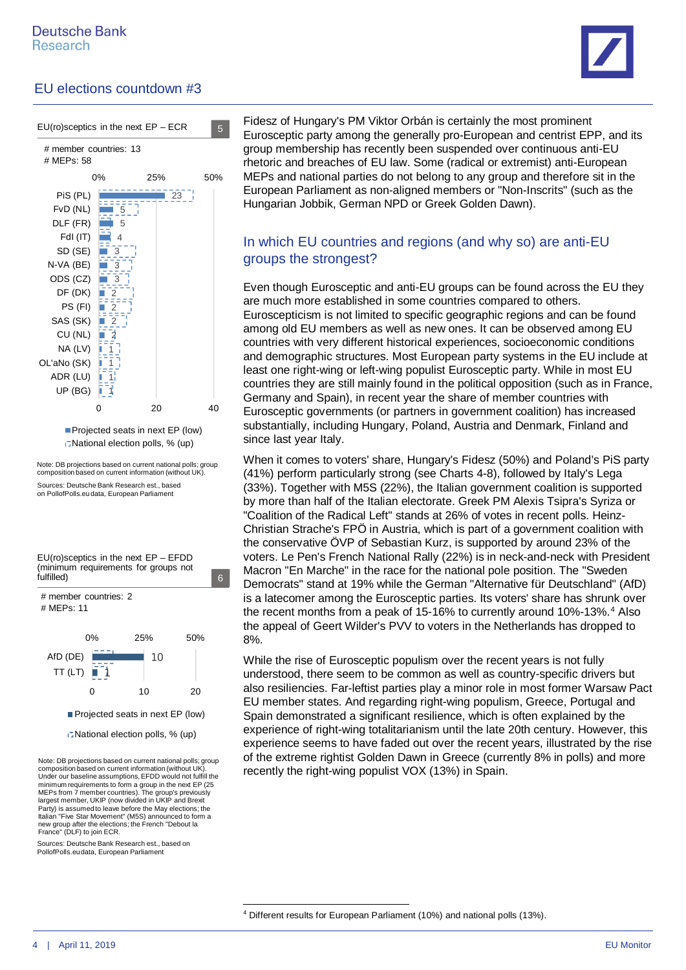



National election polls, % (up) Note: DB projections based on current national polls; group

Sources: Deutsche Bank Research est., based on PollofPolls.eu data, European Parliament composition based on current information (without UK).







Note: DB projections based on current national polls; group composition based on current information (without UK). Under our baseline assumptions, EFDD would not fulfill the minimum requirements to form a group in the next EP (25 MEPs from 7 member countries). The group's previously largest member, UKIP (now divided in UKIP and Brexit Party) is assumed to leave before the May elections; the Italian "Five Star Movement" (M5S) announced to form a new group after the elections; the French "Debout la France" (DLF) to join ECR.

Sources: Deutsche Bank Research est., based on PollofPolls.eu data, European Parliament

Fidesz of Hungary's PM Viktor Orbán is certainly the most prominent Eurosceptic party among the generally pro-European and centrist EPP, and its group membership has recently been suspended over continuous anti-EU rhetoric and breaches of EU law. Some (radical or extremist) anti-European MEPs and national parties do not belong to any group and therefore sit in the European Parliament as non-aligned members or "Non-Inscrits" (such as the Hungarian Jobbik, German NPD or Greek Golden Dawn).

## In which EU countries and regions (and why so) are anti-EU groups the strongest?

Even though Eurosceptic and anti-EU groups can be found across the EU they are much more established in some countries compared to others. Euroscepticism is not limited to specific geographic regions and can be found among old EU members as well as new ones. It can be observed among EU countries with very different historical experiences, socioeconomic conditions and demographic structures. Most European party systems in the EU include at least one right-wing or left-wing populist Eurosceptic party. While in most EU countries they are still mainly found in the political opposition (such as in France, Germany and Spain), in recent year the share of member countries with Eurosceptic governments (or partners in government coalition) has increased substantially, including Hungary, Poland, Austria and Denmark, Finland and since last year Italy.

When it comes to voters' share, Hungary's Fidesz (50%) and Poland's PiS party (41%) perform particularly strong (see Charts 4-8), followed by Italy's Lega (33%). Together with M5S (22%), the Italian government coalition is supported by more than half of the Italian electorate. Greek PM Alexis Tsipra's Syriza or "Coalition of the Radical Left" stands at 26% of votes in recent polls. Heinz-Christian Strache's FPÖ in Austria, which is part of a government coalition with the conservative ÖVP of Sebastian Kurz, is supported by around 23% of the voters. Le Pen's French National Rally (22%) is in neck-and-neck with President Macron "En Marche" in the race for the national pole position. The "Sweden Democrats" stand at 19% while the German "Alternative für Deutschland" (AfD) is a latecomer among the Eurosceptic parties. Its voters' share has shrunk over the recent months from a peak of 15-16% to currently around 10%-13%.<sup>[4](#page-3-0)</sup> Also the appeal of Geert Wilder's PVV to voters in the Netherlands has dropped to 8%.

While the rise of Eurosceptic populism over the recent years is not fully understood, there seem to be common as well as country-specific drivers but also resiliencies. Far-leftist parties play a minor role in most former Warsaw Pact EU member states. And regarding right-wing populism, Greece, Portugal and Spain demonstrated a significant resilience, which is often explained by the experience of right-wing totalitarianism until the late 20th century. However, this experience seems to have faded out over the recent years, illustrated by the rise of the extreme rightist Golden Dawn in Greece (currently 8% in polls) and more recently the right-wing populist VOX (13%) in Spain.

<span id="page-3-0"></span><sup>4</sup> Different results for European Parliament (10%) and national polls (13%).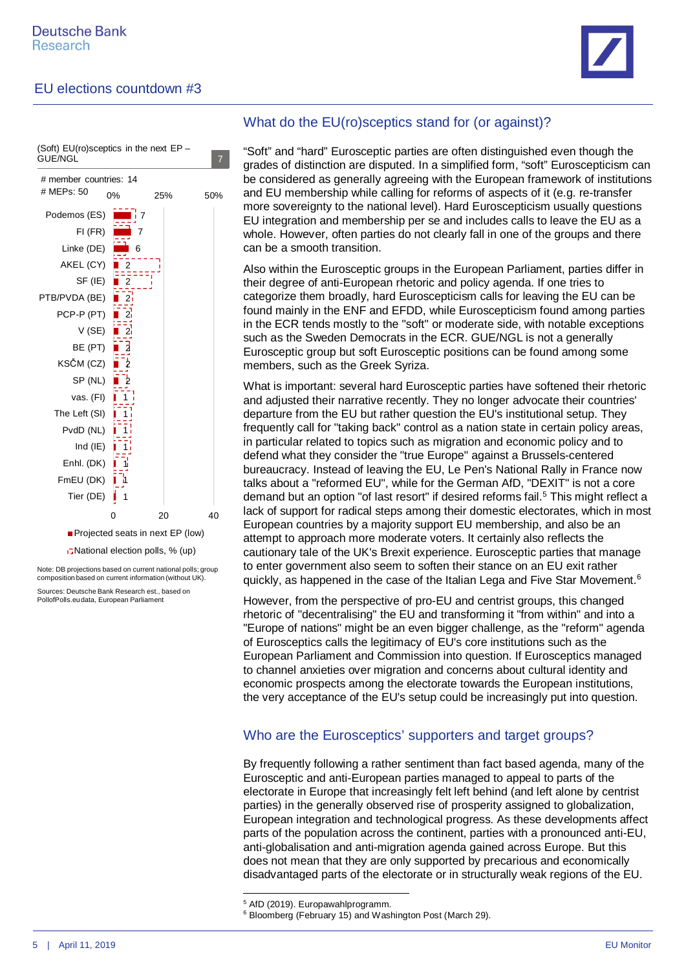

1 1 1 1 1 1 1  $\frac{1}{2}$  $\frac{1}{2}$ 2  $\overline{2}$  $\overline{2}$  $\overline{2}$ 2 2 6 7 7 0% 25% 50% 0 20 40 Tier (DE) FmEU (DK) Enhl. (DK) Ind (IE) PvdD (NL) The Left (SI) vas. (FI) SP (NL) KSČM (CZ) BE (PT) V (SE) PCP-P (PT) PTB/PVDA (BE) SF (IE) AKEL (CY) Linke (DE) FI (FR) Podemos (ES) Projected seats in next EP (low) National election polls, % (up) # member countries: 14 # MEPs: 50 (Soft) EU(ro)sceptics in the next EP – GUE/NGL 7 Note: DB projections based on current national polls; group composition based on current information (without UK).

Sources: Deutsche Bank Research est., based on PollofPolls.eu data, European Parliament

#### What do the EU(ro) sceptics stand for (or against)?

"Soft" and "hard" Eurosceptic parties are often distinguished even though the grades of distinction are disputed. In a simplified form, "soft" Euroscepticism can be considered as generally agreeing with the European framework of institutions and EU membership while calling for reforms of aspects of it (e.g. re-transfer more sovereignty to the national level). Hard Euroscepticism usually questions EU integration and membership per se and includes calls to leave the EU as a whole. However, often parties do not clearly fall in one of the groups and there can be a smooth transition.

Also within the Eurosceptic groups in the European Parliament, parties differ in their degree of anti-European rhetoric and policy agenda. If one tries to categorize them broadly, hard Euroscepticism calls for leaving the EU can be found mainly in the ENF and EFDD, while Euroscepticism found among parties in the ECR tends mostly to the "soft" or moderate side, with notable exceptions such as the Sweden Democrats in the ECR. GUE/NGL is not a generally Eurosceptic group but soft Eurosceptic positions can be found among some members, such as the Greek Syriza.

What is important: several hard Eurosceptic parties have softened their rhetoric and adjusted their narrative recently. They no longer advocate their countries' departure from the EU but rather question the EU's institutional setup. They frequently call for "taking back" control as a nation state in certain policy areas, in particular related to topics such as migration and economic policy and to defend what they consider the "true Europe" against a Brussels-centered bureaucracy. Instead of leaving the EU, Le Pen's National Rally in France now talks about a "reformed EU", while for the German AfD, "DEXIT" is not a core demand but an option "of last resort" if desired reforms fail.<sup>[5](#page-4-0)</sup> This might reflect a lack of support for radical steps among their domestic electorates, which in most European countries by a majority support EU membership, and also be an attempt to approach more moderate voters. It certainly also reflects the cautionary tale of the UK's Brexit experience. Eurosceptic parties that manage to enter government also seem to soften their stance on an EU exit rather quickly, as happened in the case of the Italian Lega and Five Star Movement.[6](#page-4-1)

However, from the perspective of pro-EU and centrist groups, this changed rhetoric of "decentralising" the EU and transforming it "from within" and into a "Europe of nations" might be an even bigger challenge, as the "reform" agenda of Eurosceptics calls the legitimacy of EU's core institutions such as the European Parliament and Commission into question. If Eurosceptics managed to channel anxieties over migration and concerns about cultural identity and economic prospects among the electorate towards the European institutions, the very acceptance of the EU's setup could be increasingly put into question.

#### Who are the Eurosceptics' supporters and target groups?

By frequently following a rather sentiment than fact based agenda, many of the Eurosceptic and anti-European parties managed to appeal to parts of the electorate in Europe that increasingly felt left behind (and left alone by centrist parties) in the generally observed rise of prosperity assigned to globalization, European integration and technological progress. As these developments affect parts of the population across the continent, parties with a pronounced anti-EU, anti-globalisation and anti-migration agenda gained across Europe. But this does not mean that they are only supported by precarious and economically disadvantaged parts of the electorate or in structurally weak regions of the EU.

<span id="page-4-0"></span><sup>5</sup> [AfD \(2019\). Europawahlprogramm.](https://www.afd.de/wp-content/uploads/sites/111/2019/02/AfD_Europawahlprogramm_A5-hoch_RZ.pdf)

<span id="page-4-1"></span><sup>6</sup> [Bloomberg \(February 15\)](https://www.bloomberg.com/news/articles/2019-02-15/league-s-borghi-voices-fresh-threat-of-italy-quitting-the-eu) and [Washington Post \(March 29\).](https://www.washingtonpost.com/world/europe/frexit-italeave-after-watching-brexit-other-european-countries-say-no-thanks/2019/03/29/7b6e059a-4be0-11e9-8cfc-2c5d0999c21e_story.html?noredirect=on&utm_term=.e4816e332b33)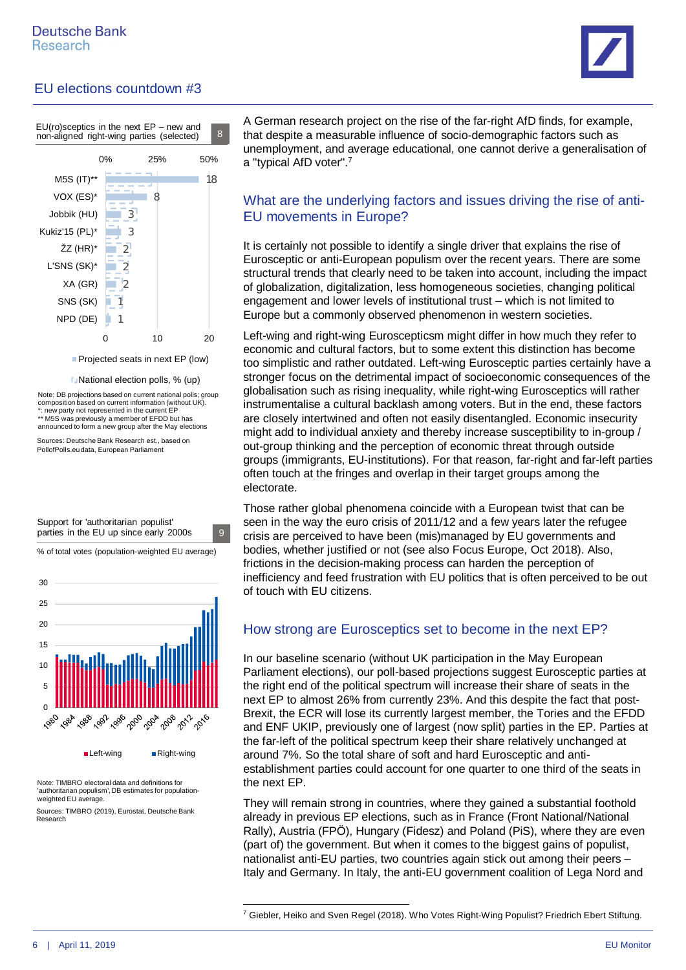



National election polls, % (up)

Note: DB projections based on current national polls; group composition based on current information (without UK). \*: new party not represented in the current EP \*\* M5S was previously a member of EFDD but has announced to form a new group after the May elections

Sources: Deutsche Bank Research est., based on PollofPolls.eu data, European Parliament

% of total votes (population-weighted EU average)



Left-wing **Right-wing** 

Note: TIMBRO electoral data and definitions for 'authoritarian populism', DB estimates for populationweighted EU average.

Sources: TIMBRO (2019), Eurostat, Deutsche Bank Research

A German research project on the rise of the far-right AfD finds, for example, that despite a measurable influence of socio-demographic factors such as unemployment, and average educational, one cannot derive a generalisation of a "typical AfD voter".[7](#page-5-0)

#### What are the underlying factors and issues driving the rise of anti-EU movements in Europe?

It is certainly not possible to identify a single driver that explains the rise of Eurosceptic or anti-European populism over the recent years. There are some structural trends that clearly need to be taken into account, including the impact of globalization, digitalization, less homogeneous societies, changing political engagement and lower levels of institutional trust – which is not limited to Europe but a commonly observed phenomenon in western societies.

Left-wing and right-wing Euroscepticsm might differ in how much they refer to economic and cultural factors, but to some extent this distinction has become too simplistic and rather outdated. Left-wing Eurosceptic parties certainly have a stronger focus on the detrimental impact of socioeconomic consequences of the globalisation such as rising inequality, while right-wing Eurosceptics will rather instrumentalise a cultural backlash among voters. But in the end, these factors are closely intertwined and often not easily disentangled. Economic insecurity might add to individual anxiety and thereby increase susceptibility to in-group / out-group thinking and the perception of economic threat through outside groups (immigrants, EU-institutions). For that reason, far-right and far-left parties often touch at the fringes and overlap in their target groups among the electorate.

Those rather global phenomena coincide with a European twist that can be seen in the way the euro crisis of 2011/12 and a few years later the refugee crisis are perceived to have been (mis)managed by EU governments and bodies, whether justified or not (see also [Focus Europe, Oct 2018\)](https://research.db.com/Research/Article?rid=02fea65c-2844-4800-b41a-ff37180462d1-604&kid=RP0001&documentType=R). Also, frictions in the decision-making process can harden the perception of inefficiency and feed frustration with EU politics that is often perceived to be out of touch with EU citizens.

## How strong are Eurosceptics set to become in the next EP?

In our baseline scenario (without UK participation in the May European Parliament elections), our poll-based projections suggest Eurosceptic parties at the right end of the political spectrum will increase their share of seats in the next EP to almost 26% from currently 23%. And this despite the fact that post-Brexit, the ECR will lose its currently largest member, the Tories and the EFDD and ENF UKIP, previously one of largest (now split) parties in the EP. Parties at the far-left of the political spectrum keep their share relatively unchanged at around 7%. So the total share of soft and hard Eurosceptic and antiestablishment parties could account for one quarter to one third of the seats in the next EP.

They will remain strong in countries, where they gained a substantial foothold already in previous EP elections, such as in France (Front National/National Rally), Austria (FPÖ), Hungary (Fidesz) and Poland (PiS), where they are even (part of) the government. But when it comes to the biggest gains of populist, nationalist anti-EU parties, two countries again stick out among their peers – Italy and Germany. In Italy, the anti-EU government coalition of Lega Nord and

Support for 'authoritarian populist' parties in the EU up since early 2000s 9

<span id="page-5-0"></span><sup>&</sup>lt;sup>7</sup> [Giebler, Heiko and Sven Regel \(2018\). Who Votes Right-Wing Populist? Friedrich Ebert Stiftung.](https://library.fes.de/pdf-files/wiso/14560.pdf)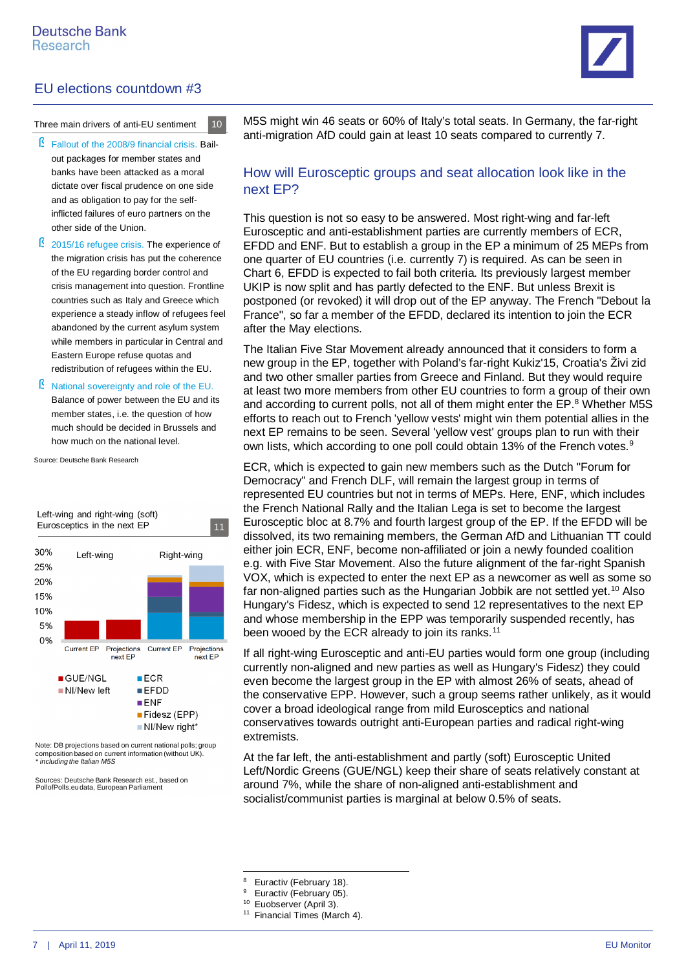

Three main drivers of anti-EU sentiment

10

- § Fallout of the 2008/9 financial crisis. Bailout packages for member states and banks have been attacked as a moral dictate over fiscal prudence on one side and as obligation to pay for the selfinflicted failures of euro partners on the other side of the Union.
- § 2015/16 refugee crisis. The experience of the migration crisis has put the coherence of the EU regarding border control and crisis management into question. Frontline countries such as Italy and Greece which experience a steady inflow of refugees feel abandoned by the current asylum system while members in particular in Central and Eastern Europe refuse quotas and redistribution of refugees within the EU.
- § National sovereignty and role of the EU. Balance of power between the EU and its member states, i.e. the question of how much should be decided in Brussels and how much on the national level.

Source: Deutsche Bank Research

0% 5% 10% 15% 20% 25% 30% Current EP Projections next EP Current EP Projections next EP GUE/NGL ECR NI/New left EFDD **ENF** Fidesz (EPP) ■NI/New right\* Left-wing and right-wing (soft) Eurosceptics in the next EP 11 Left-wing Right-wing

Note: DB projections based on current national polls; group composition based on current information (without UK). *\* including the Italian M5S*

Sources: Deutsche Bank Research est., based on PollofPolls.eudata, European Parliament

M5S might win 46 seats or 60% of Italy's total seats. In Germany, the far-right anti-migration AfD could gain at least 10 seats compared to currently 7.

#### How will Eurosceptic groups and seat allocation look like in the next EP?

This question is not so easy to be answered. Most right-wing and far-left Eurosceptic and anti-establishment parties are currently members of ECR, EFDD and ENF. But to establish a group in the EP a minimum of 25 MEPs from one quarter of EU countries (i.e. currently 7) is required. As can be seen in Chart 6, EFDD is expected to fail both criteria. Its previously largest member UKIP is now split and has partly defected to the ENF. But unless Brexit is postponed (or revoked) it will drop out of the EP anyway. The French "Debout la France", so far a member of the EFDD, declared its intention to join the ECR after the May elections.

The Italian Five Star Movement already announced that it considers to form a new group in the EP, together with Poland's far-right Kukiz'15, Croatia's Živi zid and two other smaller parties from Greece and Finland. But they would require at least two more members from other EU countries to form a group of their own and according to current polls, not all of them might enter the EP.<sup>[8](#page-6-0)</sup> Whether M5S efforts to reach out to French 'yellow vests' might win them potential allies in the next EP remains to be seen. Several 'yellow vest' groups plan to run with their own lists, which according to one poll could obtain 13% of the French votes.<sup>[9](#page-6-1)</sup>

ECR, which is expected to gain new members such as the Dutch "Forum for Democracy" and French DLF, will remain the largest group in terms of represented EU countries but not in terms of MEPs. Here, ENF, which includes the French National Rally and the Italian Lega is set to become the largest Eurosceptic bloc at 8.7% and fourth largest group of the EP. If the EFDD will be dissolved, its two remaining members, the German AfD and Lithuanian TT could either join ECR, ENF, become non-affiliated or join a newly founded coalition e.g. with Five Star Movement. Also the future alignment of the far-right Spanish VOX, which is expected to enter the next EP as a newcomer as well as some so far non-aligned parties such as the Hungarian Jobbik are not settled yet.<sup>[10](#page-6-2)</sup> Also Hungary's Fidesz, which is expected to send 12 representatives to the next EP and whose membership in the EPP was temporarily suspended recently, has been wooed by the ECR already to join its ranks.<sup>[11](#page-6-3)</sup>

If all right-wing Eurosceptic and anti-EU parties would form one group (including currently non-aligned and new parties as well as Hungary's Fidesz) they could even become the largest group in the EP with almost 26% of seats, ahead of the conservative EPP. However, such a group seems rather unlikely, as it would cover a broad ideological range from mild Eurosceptics and national conservatives towards outright anti-European parties and radical right-wing extremists.

At the far left, the anti-establishment and partly (soft) Eurosceptic United Left/Nordic Greens (GUE/NGL) keep their share of seats relatively constant at around 7%, while the share of non-aligned anti-establishment and socialist/communist parties is marginal at below 0.5% of seats.

- <span id="page-6-1"></span>9 [Euractiv \(February 05\).](https://www.euractiv.com/section/eu-elections-2019/news/increasing-number-of-yellow-vest-lists-for-european-elections/)
- <span id="page-6-2"></span><sup>10</sup> [Euobserver \(April 3\).](https://euobserver.com/opinion/144553)
- <span id="page-6-3"></span><sup>11</sup> Financial Times (March 4).

<span id="page-6-0"></span><sup>8</sup> [Euractiv \(February 18\).](https://www.euractiv.com/section/eu-elections-2019/opinion/the-five-star-movements-attempt-to-create-a-european-parliament-group/)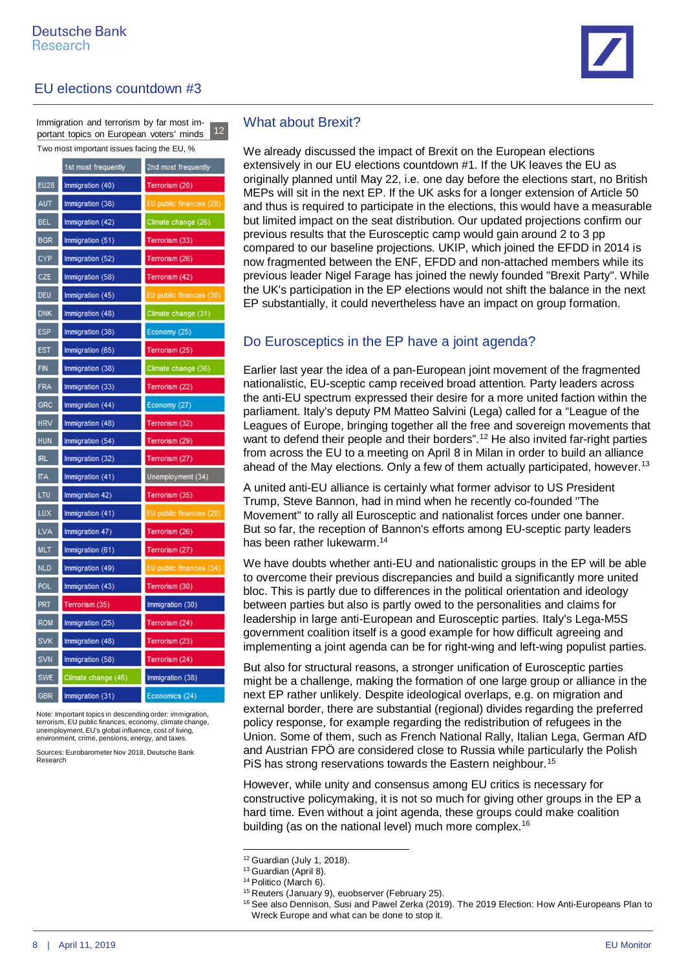Two most important issues facing the EU, % Immigration and terrorism by far most important topics on European voters' minds 12

|             | 1st most frequently | 2nd most frequently     |
|-------------|---------------------|-------------------------|
| <b>EU28</b> | Immigration (40)    | Terrorism (20)          |
| AUT         | Immigration (38)    | EU public finances (28) |
| BEL         | Immigration (42)    | Climate change (26)     |
| BGR         | Immigration (51)    | Terrorism (33)          |
| CYP         | Immigration (52)    | Terrorism (26)          |
| <b>CZE</b>  | Immigration (58)    | Terrorism (42)          |
| <b>DEU</b>  | Immigration (45)    | EU public finances (30) |
| <b>DNK</b>  | Immigration (48)    | Climate change (31)     |
| ESP         | Immigration (38)    | Economy (25)            |
| EST         | Immigration (65)    | Terrorism (25)          |
| FIN         | Immigration (38)    | Climate change (36)     |
| FRA         | Immigration (33)    | Terrorism (22)          |
| GRC         | Immigration (44)    | Economy (27)            |
| HRV         | Immigration (48)    | Terrorism (32)          |
| hun         | Immigration (54)    | Terrorism (29)          |
| IRL         | Immigration (32)    | Terrorism (27)          |
| ΠA          | Immigration (41)    | Unemployment (34)       |
| LTU         | Immigration 42)     | Terrorism (35)          |
| LUX         | Immigration (41)    | EU public finances (20) |
| LVA         | Immigration 47)     | Terrorism (26)          |
| <b>MLT</b>  | Immigration (61)    | Terrorism (27)          |
| NLD         | Immigration (49)    | EU public finances (34) |
| pol         | Immigration (43)    | Terrorism (30)          |
| PRT         | Terrorism (35)      | Immigration (30)        |
| ROM         | Immigration (25)    | Terrorism (24)          |
| SVK         | Immigration (48)    | Terrorism (23)          |
| svn         | Immigration (58)    | Terrorism (24)          |
| SWE         | Climate change (46) | Immigration (38)        |
| <b>GBR</b>  | Immigration (31)    | Economics (24)          |

Note: Important topics in descending order: immigration, terrorism, EU public finances, economy, climate change, unemployment, EU's global influence, cost of living, environment, crime, pensions, energy, and taxes.

Sources: Eurobarometer Nov 2018, Deutsche Bank Research

## What about Brexit?

We already discussed the impact of Brexit on the European elections extensively in our [EU elections countdown #1.](https://www.dbresearch.com/PROD/RPS_EN-PROD/PROD0000000000487617/EU_elections_countdown_%231%3A_Brexit_delay_and_the_ne.pdf) If the UK leaves the EU as originally planned until May 22, i.e. one day before the elections start, no British MEPs will sit in the next EP. If the UK asks for a longer extension of Article 50 and thus is required to participate in the elections, this would have a measurable but limited impact on the seat distribution. Our updated projections confirm our previous results that the Eurosceptic camp would gain around 2 to 3 pp compared to our baseline projections. UKIP, which joined the EFDD in 2014 is now fragmented between the ENF, EFDD and non-attached members while its previous leader Nigel Farage has joined the newly founded "Brexit Party". While the UK's participation in the EP elections would not shift the balance in the next EP substantially, it could nevertheless have an impact on group formation.

## Do Eurosceptics in the EP have a joint agenda?

Earlier last year the idea of a pan-European joint movement of the fragmented nationalistic, EU-sceptic camp received broad attention. Party leaders across the anti-EU spectrum expressed their desire for a more united faction within the parliament. Italy's deputy PM Matteo Salvini (Lega) called for a "League of the Leagues of Europe, bringing together all the free and sovereign movements that want to defend their people and their borders".<sup>[12](#page-7-0)</sup> He also invited far-right parties from across the EU to a meeting on April 8 in Milan in order to build an alliance ahead of the May elections. Only a few of them actually participated, however.<sup>[13](#page-7-1)</sup>

A united anti-EU alliance is certainly what former advisor to US President Trump, Steve Bannon, had in mind when he recently co-founded "The Movement" to rally all Eurosceptic and nationalist forces under one banner. But so far, the reception of Bannon's efforts among EU-sceptic party leaders has been rather lukewarm.[14](#page-7-2)

We have doubts whether anti-EU and nationalistic groups in the EP will be able to overcome their previous discrepancies and build a significantly more united bloc. This is partly due to differences in the political orientation and ideology between parties but also is partly owed to the personalities and claims for leadership in large anti-European and Eurosceptic parties. Italy's Lega-M5S government coalition itself is a good example for how difficult agreeing and implementing a joint agenda can be for right-wing and left-wing populist parties.

But also for structural reasons, a stronger unification of Eurosceptic parties might be a challenge, making the formation of one large group or alliance in the next EP rather unlikely. Despite ideological overlaps, e.g. on migration and external border, there are substantial (regional) divides regarding the preferred policy response, for example regarding the redistribution of refugees in the Union. Some of them, such as French National Rally, Italian Lega, German AfD and Austrian FPÖ are considered close to Russia while particularly the Polish PiS has strong reservations towards the Eastern neighbour.<sup>[15](#page-7-3)</sup>

However, while unity and consensus among EU critics is necessary for constructive policymaking, it is not so much for giving other groups in the EP a hard time. Even without a joint agenda, these groups could make coalition building (as on the national level) much more complex.<sup>[16](#page-7-4)</sup>

<span id="page-7-0"></span><sup>12</sup> [Guardian \(July 1, 2018\).](https://www.theguardian.com/world/2018/jul/01/italian-minister-aims-to-unite-european-nationalist-parties)

<span id="page-7-1"></span><sup>&</sup>lt;sup>13</sup> [Guardian \(April 8\).](https://www.theguardian.com/world/2019/apr/08/matteo-salvini-launches-campaign-to-forge-far-right-alliance)

<span id="page-7-2"></span><sup>&</sup>lt;sup>14</sup> [Politico \(March 6\).](https://www.politico.eu/article/steve-bannon-european-parliament-the-movement-stuttering-european-adventure/)

<span id="page-7-3"></span><sup>15</sup> [Reuters \(January 9\), euobserver \(February 25\).](https://www.reuters.com/article/us-eu-poland-italy-salvini/italys-salvini-visits-poland-to-discuss-eurosceptic-alliance-for-eu-elections-idUSKCN1P304V)

<span id="page-7-4"></span><sup>&</sup>lt;sup>16</sup> See also [Dennison, Susi and Pawel Zerka \(2019\). The 2019 Election: How Anti-Europeans Plan to](https://www.ecfr.eu/page/-/EUROPEAN_PARLIAMENT_FLASH_SCORECARD_.pdf) Wreck Europe and what can be done to stop it.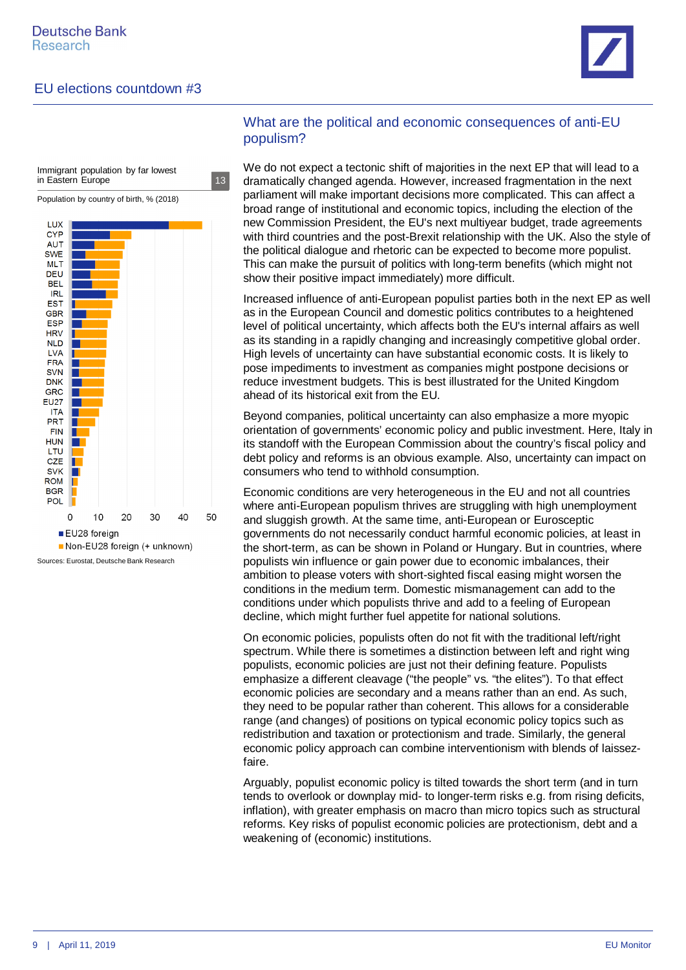

Immigrant population by far lowest in Eastern Europe 13

Population by country of birth, % (2018)



Sources: Eurostat, Deutsche Bank Research

#### What are the political and economic consequences of anti-EU populism?

We do not expect a tectonic shift of majorities in the next EP that will lead to a dramatically changed agenda. However, increased fragmentation in the next parliament will make important decisions more complicated. This can affect a broad range of institutional and economic topics, including the election of the new Commission President, the EU's next multiyear budget, trade agreements with third countries and the post-Brexit relationship with the UK. Also the style of the political dialogue and rhetoric can be expected to become more populist. This can make the pursuit of politics with long-term benefits (which might not show their positive impact immediately) more difficult.

Increased influence of anti-European populist parties both in the next EP as well as in the European Council and domestic politics contributes to a heightened level of political uncertainty, which affects both the EU's internal affairs as well as its standing in a rapidly changing and increasingly competitive global order. High levels of uncertainty can have substantial economic costs. It is likely to pose impediments to investment as companies might postpone decisions or reduce investment budgets. This is best illustrated for the United Kingdom ahead of its historical exit from the EU.

Beyond companies, political uncertainty can also emphasize a more myopic orientation of governments' economic policy and public investment. Here, Italy in its standoff with the European Commission about the country's fiscal policy and debt policy and reforms is an obvious example. Also, uncertainty can impact on consumers who tend to withhold consumption.

Economic conditions are very heterogeneous in the EU and not all countries where anti-European populism thrives are struggling with high unemployment and sluggish growth. At the same time, anti-European or Eurosceptic governments do not necessarily conduct harmful economic policies, at least in the short-term, as can be shown in Poland or Hungary. But in countries, where populists win influence or gain power due to economic imbalances, their ambition to please voters with short-sighted fiscal easing might worsen the conditions in the medium term. Domestic mismanagement can add to the conditions under which populists thrive and add to a feeling of European decline, which might further fuel appetite for national solutions.

On economic policies, populists often do not fit with the traditional left/right spectrum. While there is sometimes a distinction between left and right wing populists, economic policies are just not their defining feature. Populists emphasize a different cleavage ("the people" vs. "the elites"). To that effect economic policies are secondary and a means rather than an end. As such, they need to be popular rather than coherent. This allows for a considerable range (and changes) of positions on typical economic policy topics such as redistribution and taxation or protectionism and trade. Similarly, the general economic policy approach can combine interventionism with blends of laissezfaire.

Arguably, populist economic policy is tilted towards the short term (and in turn tends to overlook or downplay mid- to longer-term risks e.g. from rising deficits, inflation), with greater emphasis on macro than micro topics such as structural reforms. Key risks of populist economic policies are protectionism, debt and a weakening of (economic) institutions.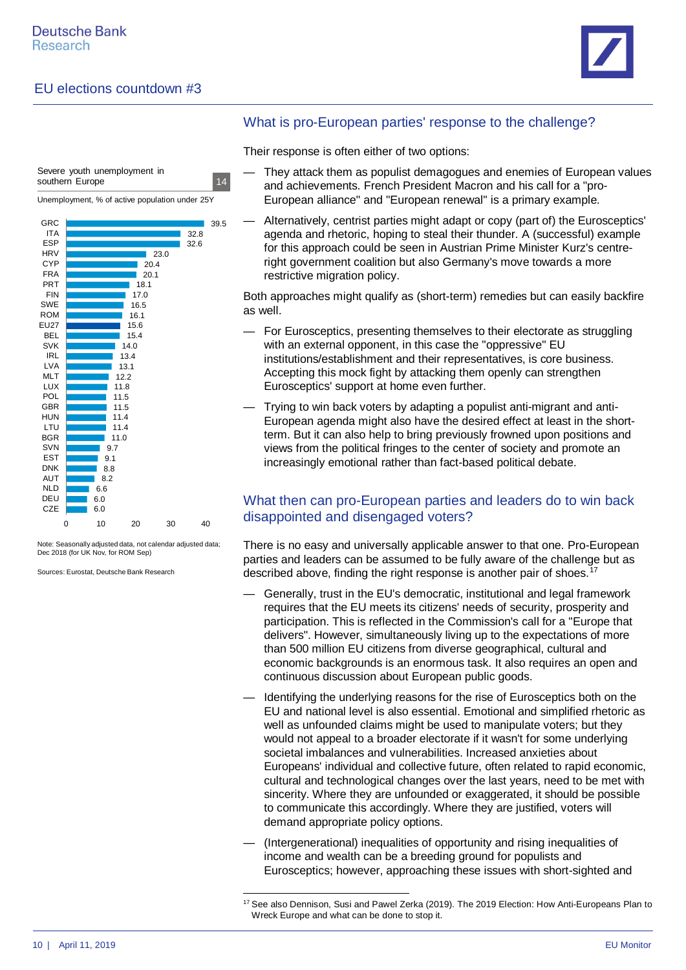

39.5  $32.8$ 32.6 23.0 20.4 20.1 18.1 17.0 16.5 16.1 15.6 15.4 14.0 13.4 13.1 12.2 11.8 11.5 11.5 11.4 11.4 11.0 9<sub>7</sub> 9.1 8.8 8.2 6.6 6.0 6.0 0 10 20 30 40 GRC ITA ESP **HRV** C.Y<sub>P</sub> FRA PRT FIN SWE ROM **EU27** BEL SVK IRL LVA MI<sub>T</sub> LUX POL GBR **HUN** LTU BGR SVN EST DNK AUT NLD DEU **CZE** Unemployment, % of active population under 25Y Severe youth unemployment in southern Europe 14

Note: Seasonally adjusted data, not calendar adjusted data; Dec 2018 (for UK Nov, for ROM Sep)

Sources: Eurostat, Deutsche Bank Research

#### What is pro-European parties' response to the challenge?

Their response is often either of two options:

- They attack them as populist demagogues and enemies of European values and achievements. French President Macron and his call for a "pro-European alliance" and "European renewal" is a primary example.
- Alternatively, centrist parties might adapt or copy (part of) the Eurosceptics' agenda and rhetoric, hoping to steal their thunder. A (successful) example for this approach could be seen in Austrian Prime Minister Kurz's centreright government coalition but also Germany's move towards a more restrictive migration policy.

Both approaches might qualify as (short-term) remedies but can easily backfire as well.

- For Eurosceptics, presenting themselves to their electorate as struggling with an external opponent, in this case the "oppressive" EU institutions/establishment and their representatives, is core business. Accepting this mock fight by attacking them openly can strengthen Eurosceptics' support at home even further.
- Trying to win back voters by adapting a populist anti-migrant and anti-European agenda might also have the desired effect at least in the shortterm. But it can also help to bring previously frowned upon positions and views from the political fringes to the center of society and promote an increasingly emotional rather than fact-based political debate.

#### What then can pro-European parties and leaders do to win back disappointed and disengaged voters?

There is no easy and universally applicable answer to that one. Pro-European parties and leaders can be assumed to be fully aware of the challenge but as described above, finding the right response is another pair of shoes.<sup>[17](#page-9-0)</sup>

- Generally, trust in the EU's democratic, institutional and legal framework requires that the EU meets its citizens' needs of security, prosperity and participation. This is reflected in the Commission's call for a "Europe that delivers". However, simultaneously living up to the expectations of more than 500 million EU citizens from diverse geographical, cultural and economic backgrounds is an enormous task. It also requires an open and continuous discussion about European public goods.
- Identifying the underlying reasons for the rise of Eurosceptics both on the EU and national level is also essential. Emotional and simplified rhetoric as well as unfounded claims might be used to manipulate voters; but they would not appeal to a broader electorate if it wasn't for some underlying societal imbalances and vulnerabilities. Increased anxieties about Europeans' individual and collective future, often related to rapid economic, cultural and technological changes over the last years, need to be met with sincerity. Where they are unfounded or exaggerated, it should be possible to communicate this accordingly. Where they are justified, voters will demand appropriate policy options.
- (Intergenerational) inequalities of opportunity and rising inequalities of income and wealth can be a breeding ground for populists and Eurosceptics; however, approaching these issues with short-sighted and

<span id="page-9-0"></span><sup>&</sup>lt;sup>17</sup> See also [Dennison, Susi and Pawel Zerka \(2019\). The 2019 Election: How Anti-Europeans Plan to](https://www.ecfr.eu/page/-/EUROPEAN_PARLIAMENT_FLASH_SCORECARD_.pdf) Wreck Europe and what can be done to stop it.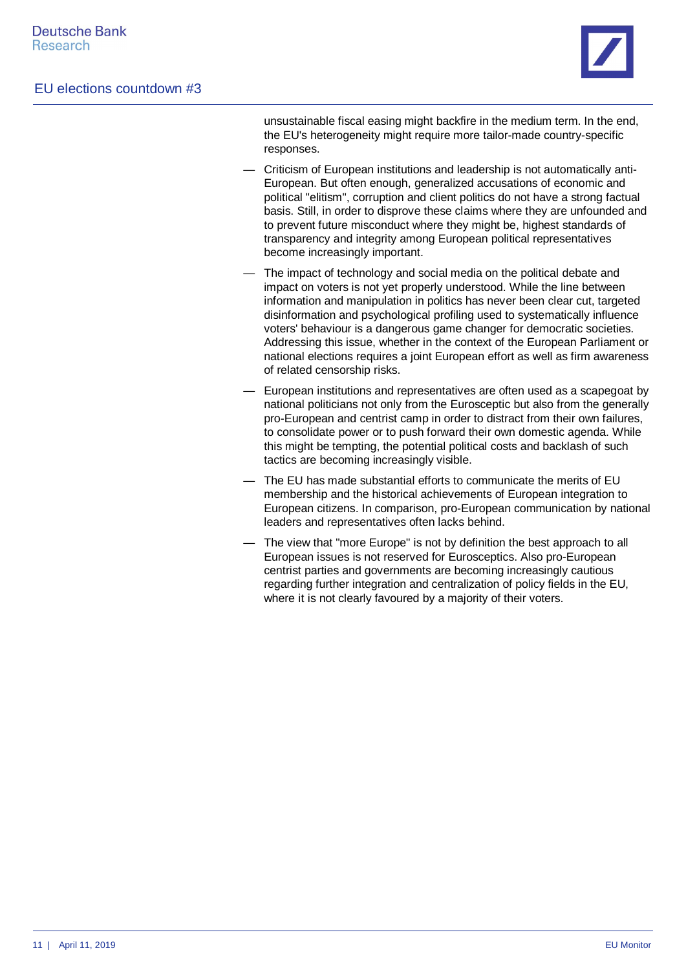

unsustainable fiscal easing might backfire in the medium term. In the end, the EU's heterogeneity might require more tailor-made country-specific responses.

- Criticism of European institutions and leadership is not automatically anti-European. But often enough, generalized accusations of economic and political "elitism", corruption and client politics do not have a strong factual basis. Still, in order to disprove these claims where they are unfounded and to prevent future misconduct where they might be, highest standards of transparency and integrity among European political representatives become increasingly important.
- The impact of technology and social media on the political debate and impact on voters is not yet properly understood. While the line between information and manipulation in politics has never been clear cut, targeted disinformation and psychological profiling used to systematically influence voters' behaviour is a dangerous game changer for democratic societies. Addressing this issue, whether in the context of the European Parliament or national elections requires a joint European effort as well as firm awareness of related censorship risks.
- European institutions and representatives are often used as a scapegoat by national politicians not only from the Eurosceptic but also from the generally pro-European and centrist camp in order to distract from their own failures, to consolidate power or to push forward their own domestic agenda. While this might be tempting, the potential political costs and backlash of such tactics are becoming increasingly visible.
- The EU has made substantial efforts to communicate the merits of EU membership and the historical achievements of European integration to European citizens. In comparison, pro-European communication by national leaders and representatives often lacks behind.
- The view that "more Europe" is not by definition the best approach to all European issues is not reserved for Eurosceptics. Also pro-European centrist parties and governments are becoming increasingly cautious regarding further integration and centralization of policy fields in the EU, where it is not clearly favoured by a majority of their voters.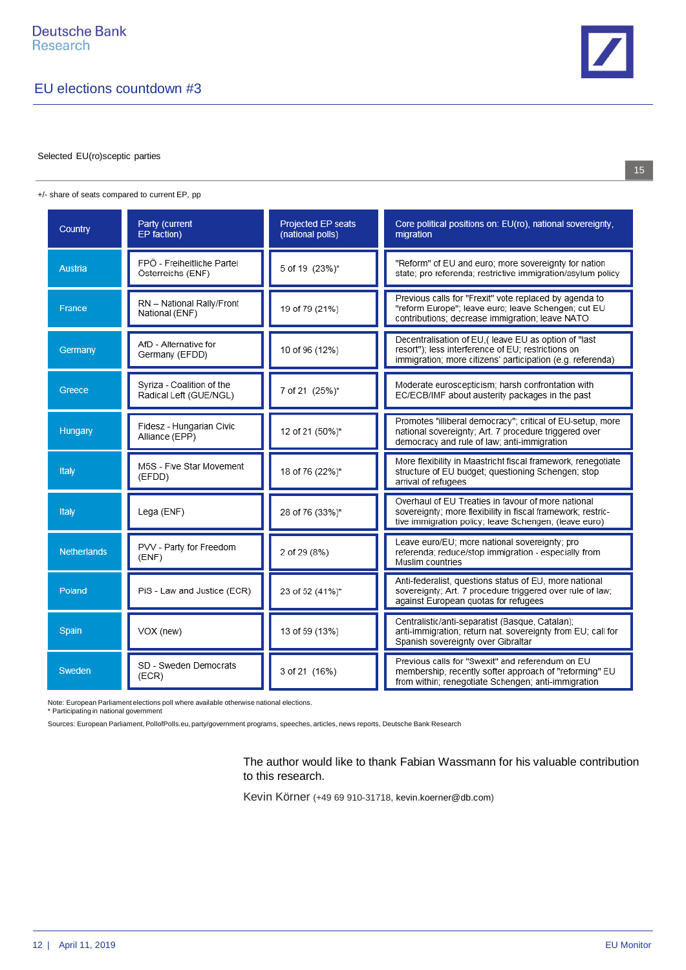

#### Selected EU(ro)sceptic parties

#### +/- share of seats compared to current EP, pp

| Country            | Party (current<br>EP faction)                       | Projected EP seats<br>(national polls) | Core political positions on: EU(ro), national sovereignty,<br>migration                                                                                                    |
|--------------------|-----------------------------------------------------|----------------------------------------|----------------------------------------------------------------------------------------------------------------------------------------------------------------------------|
| Austria            | FPÖ - Freiheitliche Partei<br>Österreichs (ENF)     | 5 of 19 (23%)*                         | "Reform" of EU and euro; more sovereignty for nation<br>state; pro referenda; restrictive immigration/asylum policy                                                        |
| France             | RN - National Rally/Front<br>National (ENF)         | 19 of 79 (21%)                         | Previous calls for "Frexit" vote replaced by agenda to<br>"reform Europe"; leave euro; leave Schengen; cut EU<br>contributions: decrease immigration: leave NATO           |
| Germany            | AfD - Alternative for<br>Germany (EFDD)             | 10 of 96 (12%)                         | Decentralisation of EU, (leave EU as option of "last<br>resort"); less interference of EU; restrictions on<br>immigration; more citizens' participation (e.g. referenda)   |
| Greece             | Syriza - Coalition of the<br>Radical Left (GUE/NGL) | 7 of 21 (25%)*                         | Moderate euroscepticism; harsh confrontation with<br>EC/ECB/IMF about austerity packages in the past                                                                       |
| Hungary            | Fidesz - Hungarian Civic<br>Alliance (EPP)          | 12 of 21 (50%)*                        | Promotes "illiberal democracy"; critical of EU-setup, more<br>national sovereignty; Art. 7 procedure triggered over<br>democracy and rule of law; anti-immigration         |
| Italy              | M5S - Five Star Movement<br>(EFDD)                  | 18 of 76 (22%)*                        | More flexibility in Maastricht fiscal framework, renegotiate<br>structure of EU budget; questioning Schengen; stop<br>arrival of refugees                                  |
| Italy              | Lega (ENF)                                          | 28 of 76 (33%)*                        | Overhaul of EU Treaties in favour of more national<br>sovereignty; more flexibility in fiscal framework; restric-<br>tive immigration policy; leave Schengen; (leave euro) |
| <b>Netherlands</b> | PVV - Party for Freedom<br>(ENF)                    | 2 of 29 (8%)                           | Leave euro/EU; more national sovereignty; pro<br>referenda; reduce/stop immigration - especially from<br>Muslim countries                                                  |
| Poland             | PiS - Law and Justice (ECR)                         | 23 of 52 (41%)*                        | Anti-federalist, questions status of EU, more national<br>sovereignty; Art. 7 procedure triggered over rule of law;<br>against European quotas for refugees                |
| Spain              | VOX (new)                                           | 13 of 59 (13%)                         | Centralistic/anti-separatist (Basque, Catalan);<br>anti-immigration; return nat. sovereignty from EU; call for<br>Spanish sovereignty over Gibraltar                       |
| Sweden             | SD - Sweden Democrats<br>(ECR)                      | 3 of 21 (16%)                          | Previous calls for "Swexit" and referendum on EU<br>membership, recently softer approach of "reforming" EU<br>from within; renegotiate Schengen; anti-immigration          |

Note: European Parliament elections poll where available otherwise national elections. \* Participating in national government

Sources: European Parliament, PollofPolls.eu, party/government programs, speeches, articles, news reports, Deutsche Bank Research

The author would like to thank Fabian Wassmann for his valuable contribution to this research.

Kevin Körner (+49 69 910-31718, kevin.koerner@db.com)